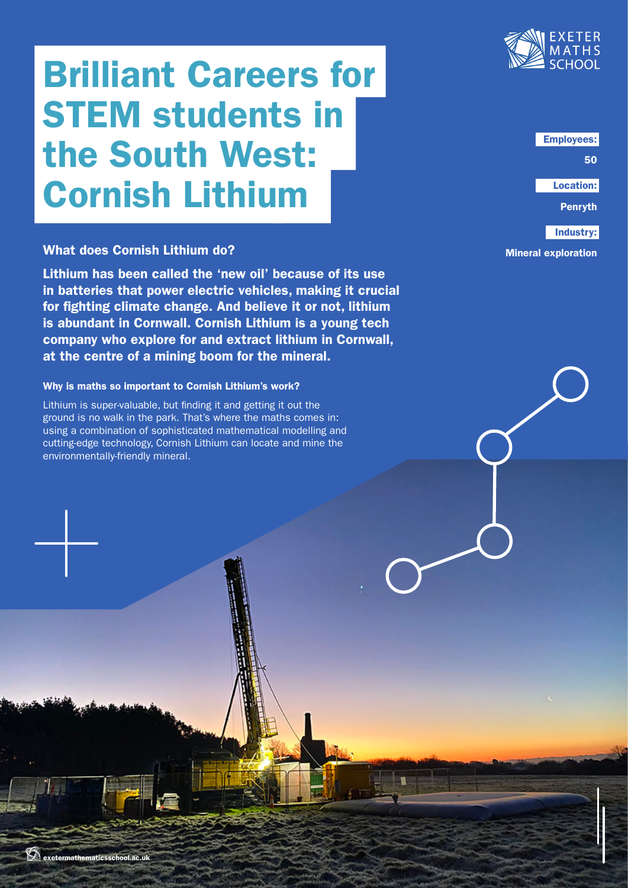# Brilliant Careers for STEM students in the South West: Cornish Lithium

## What does Cornish Lithium do?

Lithium has been called the 'new oil' because of its use in batteries that power electric vehicles, making it crucial for fighting climate change. And believe it or not, lithium is abundant in Cornwall. Cornish Lithium is a young tech company who explore for and extract lithium in Cornwall, at the centre of a mining boom for the mineral.

### Why is maths so important to Cornish Lithium's work?

Lithium is super-valuable, but finding it and getting it out the ground is no walk in the park. That's where the maths comes in: using a combination of sophisticated mathematical modelling and cutting-edge technology, Cornish Lithium can locate and mine the environmentally-friendly mineral.



Employees:

50

Location:

Penryth

Industry:

Mineral exploration